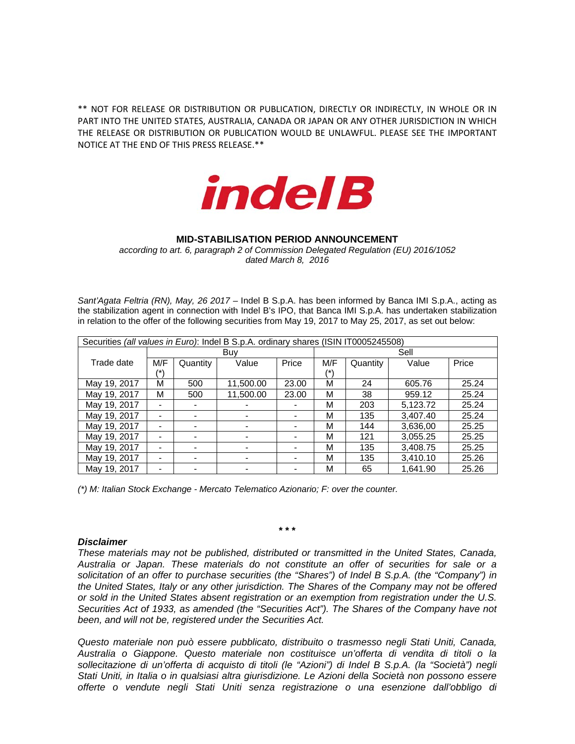\*\* NOT FOR RELEASE OR DISTRIBUTION OR PUBLICATION, DIRECTLY OR INDIRECTLY, IN WHOLE OR IN PART INTO THE UNITED STATES, AUSTRALIA, CANADA OR JAPAN OR ANY OTHER JURISDICTION IN WHICH THE RELEASE OR DISTRIBUTION OR PUBLICATION WOULD BE UNLAWFUL. PLEASE SEE THE IMPORTANT NOTICE AT THE END OF THIS PRESS RELEASE.\*\*



## **MID-STABILISATION PERIOD ANNOUNCEMENT**

*according to art. 6, paragraph 2 of Commission Delegated Regulation (EU) 2016/1052 dated March 8, 2016*

Sant'Agata Feltria (RN), May, 26 2017 – Indel B S.p.A. has been informed by Banca IMI S.p.A., acting as the stabilization agent in connection with Indel B's IPO, that Banca IMI S.p.A. has undertaken stabilization in relation to the offer of the following securities from May 19, 2017 to May 25, 2017, as set out below:

| Securities (all values in Euro): Indel B S.p.A. ordinary shares (ISIN IT0005245508) |     |          |           |       |      |          |          |       |  |
|-------------------------------------------------------------------------------------|-----|----------|-----------|-------|------|----------|----------|-------|--|
|                                                                                     | Buv |          |           |       | Sell |          |          |       |  |
| Trade date                                                                          | M/F | Quantity | Value     | Price | M/F  | Quantity | Value    | Price |  |
|                                                                                     | /*\ |          |           |       | /*)  |          |          |       |  |
| May 19, 2017                                                                        | М   | 500      | 11.500.00 | 23.00 | М    | 24       | 605.76   | 25.24 |  |
| May 19, 2017                                                                        | М   | 500      | 11,500.00 | 23.00 | М    | 38       | 959.12   | 25.24 |  |
| May 19, 2017                                                                        |     |          |           |       | м    | 203      | 5,123.72 | 25.24 |  |
| May 19, 2017                                                                        | -   |          | ۰         |       | м    | 135      | 3,407.40 | 25.24 |  |
| May 19, 2017                                                                        |     |          | ٠         |       | м    | 144      | 3.636.00 | 25.25 |  |
| May 19, 2017                                                                        |     |          |           |       | м    | 121      | 3,055.25 | 25.25 |  |
| May 19, 2017                                                                        |     |          |           |       | М    | 135      | 3.408.75 | 25.25 |  |
| May 19, 2017                                                                        |     |          |           |       | м    | 135      | 3,410.10 | 25.26 |  |
| May 19, 2017                                                                        |     |          |           |       | М    | 65       | 1.641.90 | 25.26 |  |

*(\*) M: Italian Stock Exchange - Mercato Telematico Azionario; F: over the counter.* 

## *Disclaimer*

*These materials may not be published, distributed or transmitted in the United States, Canada, Australia or Japan. These materials do not constitute an offer of securities for sale or a solicitation of an offer to purchase securities (the "Shares") of Indel B S.p.A. (the "Company") in the United States, Italy or any other jurisdiction. The Shares of the Company may not be offered or sold in the United States absent registration or an exemption from registration under the U.S. Securities Act of 1933, as amended (the "Securities Act"). The Shares of the Company have not been, and will not be, registered under the Securities Act.* 

**\* \* \*** 

*Questo materiale non può essere pubblicato, distribuito o trasmesso negli Stati Uniti, Canada, Australia o Giappone. Questo materiale non costituisce un'offerta di vendita di titoli o la sollecitazione di un'offerta di acquisto di titoli (le "Azioni") di Indel B S.p.A. (la "Società") negli Stati Uniti, in Italia o in qualsiasi altra giurisdizione. Le Azioni della Società non possono essere offerte o vendute negli Stati Uniti senza registrazione o una esenzione dall'obbligo di*